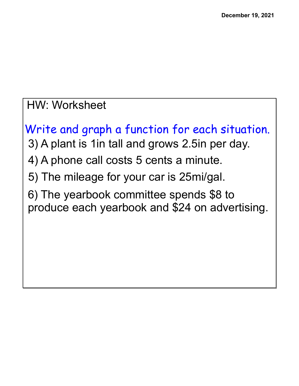## HW: Worksheet

Write and graph a function for each situation. 3) A plant is 1in tall and grows 2.5in per day. 4) A phone call costs 5 cents a minute. 5) The mileage for your car is 25mi/gal. 6) The yearbook committee spends \$8 to produce each yearbook and \$24 on advertising.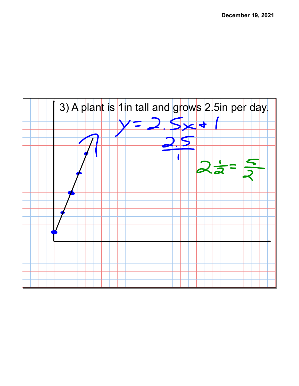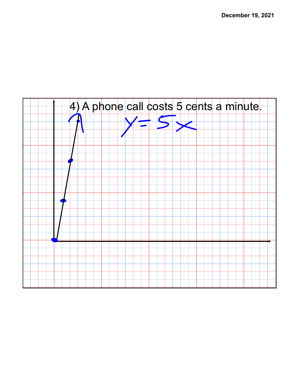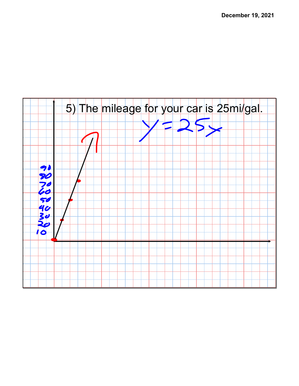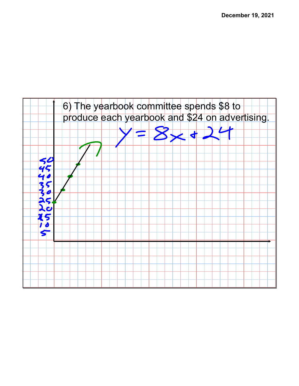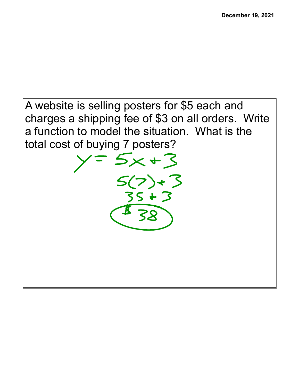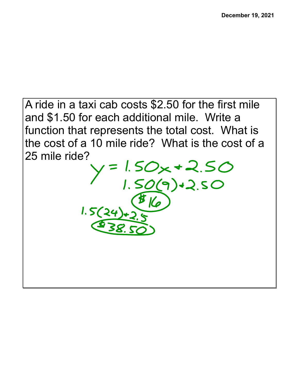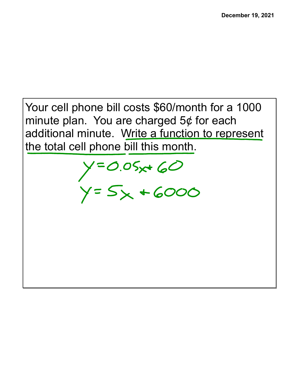Your cell phone bill costs \$60/month for a 1000 minute plan. You are charged  $5¢$  for each additional minute. Write a function to represent the total cell phone bill this month.

 $y=0.05x+60$ <br> $y=5x+6000$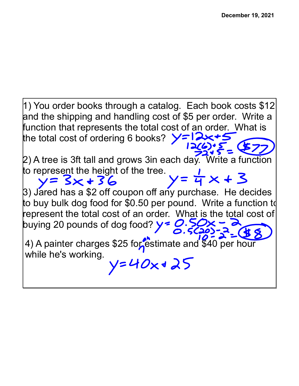